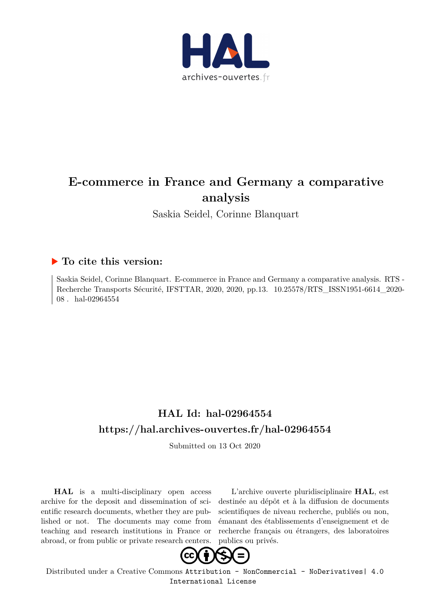

# **E-commerce in France and Germany a comparative analysis**

Saskia Seidel, Corinne Blanquart

## **To cite this version:**

Saskia Seidel, Corinne Blanquart. E-commerce in France and Germany a comparative analysis. RTS - Recherche Transports Sécurité, IFSTTAR, 2020, 2020, pp.13. 10.25578/RTS ISSN1951-6614 2020- $08$ . hal- $02964554$ 

# **HAL Id: hal-02964554 <https://hal.archives-ouvertes.fr/hal-02964554>**

Submitted on 13 Oct 2020

**HAL** is a multi-disciplinary open access archive for the deposit and dissemination of scientific research documents, whether they are published or not. The documents may come from teaching and research institutions in France or abroad, or from public or private research centers.

L'archive ouverte pluridisciplinaire **HAL**, est destinée au dépôt et à la diffusion de documents scientifiques de niveau recherche, publiés ou non, émanant des établissements d'enseignement et de recherche français ou étrangers, des laboratoires publics ou privés.



Distributed under a Creative Commons [Attribution - NonCommercial - NoDerivatives| 4.0](http://creativecommons.org/licenses/by-nc-nd/4.0/) [International License](http://creativecommons.org/licenses/by-nc-nd/4.0/)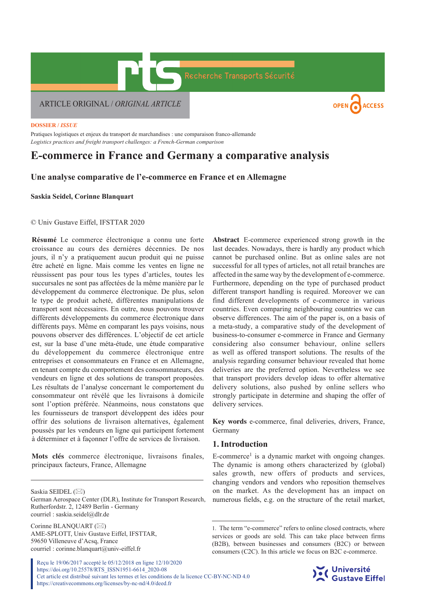

#### **DOSSIER /** *ISSUE*

Pratiques logistiques et enjeux du transport de marchandises : une comparaison franco-allemande *Logistics practices and freight transport challenges: a French-German comparison*

## **E-commerce in France and Germany a comparative analysis**

### **Une analyse comparative de l'e-commerce en France et en Allemagne**

**Saskia Seidel, Corinne Blanquart**

#### © Univ Gustave Eiffel, IFSTTAR 2020

**Résumé** Le commerce électronique a connu une forte croissance au cours des dernières décennies. De nos jours, il n'y a pratiquement aucun produit qui ne puisse être acheté en ligne. Mais comme les ventes en ligne ne réussissent pas pour tous les types d'articles, toutes les succursales ne sont pas affectées de la même manière par le développement du commerce électronique. De plus, selon le type de produit acheté, différentes manipulations de transport sont nécessaires. En outre, nous pouvons trouver différents développements du commerce électronique dans différents pays. Même en comparant les pays voisins, nous pouvons observer des différences. L'objectif de cet article est, sur la base d'une méta-étude, une étude comparative du développement du commerce électronique entre entreprises et consommateurs en France et en Allemagne, en tenant compte du comportement des consommateurs, des vendeurs en ligne et des solutions de transport proposées. Les résultats de l'analyse concernant le comportement du consommateur ont révélé que les livraisons à domicile sont l'option préférée. Néanmoins, nous constatons que les fournisseurs de transport développent des idées pour offrir des solutions de livraison alternatives, également poussés par les vendeurs en ligne qui participent fortement à déterminer et à façonner l'offre de services de livraison.

**Mots clés** commerce électronique, livraisons finales, principaux facteurs, France, Allemagne

German Aerospace Center (DLR), Institute for Transport Research, Rutherfordstr. 2, 12489 Berlin - Germany courriel : saskia.seidel@dlr.de

Corinne BLANOUART  $(\boxtimes)$ AME-SPLOTT, Univ Gustave Eiffel, IFSTTAR, 59650 Villeneuve d'Acsq, France courriel : corinne.blanquart@univ-eiffel.fr

Reçu le 19/06/2017 accepté le 05/12/2018 en ligne 12/10/2020 https://doi.org/10.25578/RTS\_ISSN1951-6614\_2020-08 Cet article est distribué suivant les termes et les conditions de la licence CC-BY-NC-ND 4.0 https://creativecommons.org/licenses/by-nc-nd/4.0/deed.fr

**Abstract** E-commerce experienced strong growth in the last decades. Nowadays, there is hardly any product which cannot be purchased online. But as online sales are not successful for all types of articles, not all retail branches are affected in the same way by the development of e-commerce. Furthermore, depending on the type of purchased product different transport handling is required. Moreover we can find different developments of e-commerce in various countries. Even comparing neighbouring countries we can observe differences. The aim of the paper is, on a basis of a meta-study, a comparative study of the development of business-to-consumer e-commerce in France and Germany considering also consumer behaviour, online sellers as well as offered transport solutions. The results of the analysis regarding consumer behaviour revealed that home deliveries are the preferred option. Nevertheless we see that transport providers develop ideas to offer alternative delivery solutions, also pushed by online sellers who strongly participate in determine and shaping the offer of delivery services.

**Key words** e-commerce, final deliveries, drivers, France, Germany

#### **1. Introduction**

 $E$ -commerce<sup>1</sup> is a dynamic market with ongoing changes. The dynamic is among others characterized by (global) sales growth, new offers of products and services, changing vendors and vendors who reposition themselves on the market. As the development has an impact on numerous fields, e.g. on the structure of the retail market,

<sup>1.</sup> The term "e-commerce" refers to online closed contracts, where services or goods are sold. This can take place between firms (B2B), between businesses and consumers (B2C) or between consumers (C2C). In this article we focus on B2C e-commerce.



Saskia SEIDEL (⊠)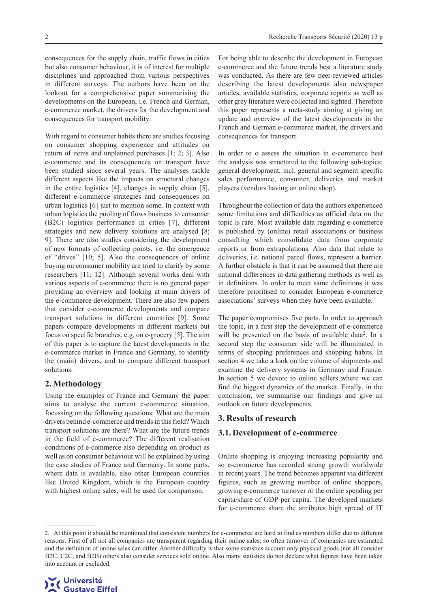consequences for the supply chain, traffic flows in cities but also consumer behaviour, it is of interest for multiple disciplines and approached from various perspectives in different surveys. The authors have been on the lookout for a comprehensive paper summarising the developments on the European, i.e. French and German, e-commerce market, the drivers for the development and consequences for transport mobility.

With regard to consumer habits there are studies focusing on consumer shopping experience and attitudes on return of items and unplanned purchases [1; 2; 3]. Also e-commerce and its consequences on transport have been studied since several years. The analyses tackle different aspects like the impacts on structural changes in the entire logistics [4], changes in supply chain [5], different e-commerce strategies and consequences on urban logistics [6] just to mention some. In context with urban logistics the pooling of flows business to consumer (B2C) logistics performance in cities [7], different strategies and new delivery solutions are analysed [8; 9]. There are also studies considering the development of new formats of collecting points, i.e. the emergence of "drives" [10; 5]. Also the consequences of online buying on consumer mobility are tried to clarify by some researchers [11; 12]. Although several works deal with various aspects of e-commerce there is no general paper providing an overview and looking at main drivers of the e-commerce development. There are also few papers that consider e-commerce developments and compare transport solutions in different countries [9]. Some papers compare developments in different markets but focus on specific branches, e.g. on e-grocery [5]. The aim of this paper is to capture the latest developments in the e-commerce market in France and Germany, to identify the (main) drivers, and to compare different transport solutions.

#### **2. Methodology**

Using the examples of France and Germany the paper aims to analyse the current e-commerce situation, focussing on the following questions: What are the main drivers behind e-commerce and trends in this field? Which transport solutions are there? What are the future trends in the field of e-commerce? The different realisation conditions of e-commerce also depending on product as well as on consumer behaviour will be explained by using the case studies of France and Germany. In some parts, where data is available, also other European countries like United Kingdom, which is the European country with highest online sales, will be used for comparison.

For being able to describe the development in European e-commerce and the future trends best a literature study was conducted. As there are few peer-reviewed articles describing the latest developments also newspaper articles, available statistics, corporate reports as well as other grey literature were collected and sighted. Therefore this paper represents a meta-study aiming at giving an update and overview of the latest developments in the French and German e-commerce market, the drivers and consequences for transport.

In order to o assess the situation in e-commerce best the analysis was structured to the following sub-topics: general development, incl. general and segment specific sales performance, consumer, deliveries and market players (vendors having an online shop).

Throughout the collection of data the authors experienced some limitations and difficulties as official data on the topic is rare. Most available data regarding e-commerce is published by (online) retail associations or business consulting which consolidate data from corporate reports or from extrapolations. Also data that relate to deliveries, i.e. national parcel flows, represent a barrier. A further obstacle is that it can be assumed that there are national differences in data gathering methods as well as in definitions. In order to meet same definitions it was therefore prioritised to consider European e-commerce associations' surveys when they have been available.

The paper compromises five parts. In order to approach the topic, in a first step the development of e-commerce will be presented on the basis of available data<sup>2</sup>. In a second step the consumer side will be illuminated in terms of shopping preferences and shopping habits. In section 4 we take a look on the volume of shipments and examine the delivery systems in Germany and France. In section 5 we devote to online sellers where we can find the biggest dynamics of the market. Finally, in the conclusion, we summarise our findings and give an outlook on future developments.

#### **3. Results of research**

#### **3.1. Development of e-commerce**

Online shopping is enjoying increasing popularity and so e-commerce has recorded strong growth worldwide in recent years. The trend becomes apparent via different figures, such as growing number of online shoppers, growing e-commerce turnover or the online spending per capita/share of GDP per capita. The developed markets for e-commerce share the attributes high spread of IT

<sup>2.</sup> At this point it should be mentioned that consistent numbers for e-commerce are hard to find as numbers differ due to different reasons. First of all not all companies are transparent regarding their online sales, so often turnover of companies are estimated and the definition of online sales can differ. Another difficulty is that some statistics account only physical goods (not all consider B2C, C2C, and B2B) others also consider services sold online. Also many statistics do not declare what figures have been taken into account or excluded.

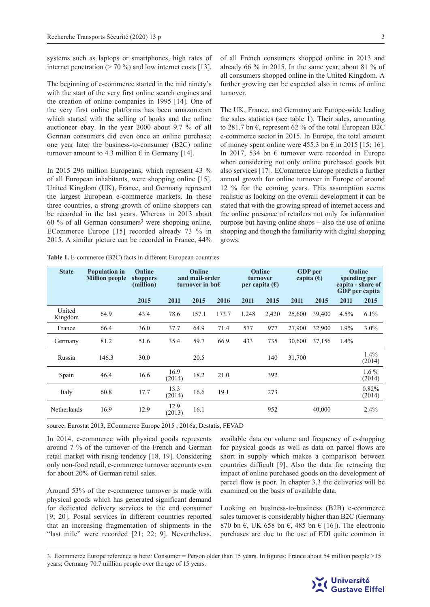systems such as laptops or smartphones, high rates of internet penetration ( $> 70\%$ ) and low internet costs [13].

The beginning of e-commerce started in the mid ninety's with the start of the very first online search engines and the creation of online companies in 1995 [14]. One of the very first online platforms has been amazon.com which started with the selling of books and the online auctioneer ebay. In the year 2000 about 9.7 % of all German consumers did even once an online purchase; one year later the business-to-consumer (B2C) online turnover amount to 4.3 million  $\epsilon$  in Germany [14].

In 2015 296 million Europeans, which represent 43 % of all European inhabitants, were shopping online [15]. United Kingdom (UK), France, and Germany represent the largest European e-commerce markets. In these three countries, a strong growth of online shoppers can be recorded in the last years. Whereas in 2013 about 60 % of all German consumers<sup>3</sup> were shopping online, ECommerce Europe [15] recorded already 73 % in 2015. A similar picture can be recorded in France, 44%

of all French consumers shopped online in 2013 and already 66 % in 2015. In the same year, about 81 % of all consumers shopped online in the United Kingdom. A further growing can be expected also in terms of online turnover.

The UK, France, and Germany are Europe-wide leading the sales statistics (see table 1). Their sales, amounting to 281.7 bn  $\epsilon$ , represent 62 % of the total European B2C e-commerce sector in 2015. In Europe, the total amount of money spent online were 455.3 bn  $\epsilon$  in 2015 [15; 16]. In 2017, 534 bn  $\epsilon$  turnover were recorded in Europe when considering not only online purchased goods but also services [17]. ECommerce Europe predicts a further annual growth for online turnover in Europe of around 12 % for the coming years. This assumption seems realistic as looking on the overall development it can be stated that with the growing spread of internet access and the online presence of retailers not only for information purpose but having online shops – also the use of online shopping and though the familiarity with digital shopping grows.

| <b>State</b>      | <b>Population in</b><br><b>Million people</b> | Online<br>shoppers<br>(million) | Online<br>and mail-order<br>turnover in bn $\epsilon$ |       | Online<br>turnover<br>per capita $(\epsilon)$ |       | <b>GDP</b> per<br>capita $(\epsilon)$ |        | Online<br>spending per<br>capita - share of<br><b>GDP</b> per capita |      |                   |
|-------------------|-----------------------------------------------|---------------------------------|-------------------------------------------------------|-------|-----------------------------------------------|-------|---------------------------------------|--------|----------------------------------------------------------------------|------|-------------------|
|                   |                                               | 2015                            | 2011                                                  | 2015  | 2016                                          | 2011  | 2015                                  | 2011   | 2015                                                                 | 2011 | 2015              |
| United<br>Kingdom | 64.9                                          | 43.4                            | 78.6                                                  | 157.1 | 173.7                                         | 1,248 | 2,420                                 | 25,600 | 39,400                                                               | 4.5% | 6.1%              |
| France            | 66.4                                          | 36.0                            | 37.7                                                  | 64.9  | 71.4                                          | 577   | 977                                   | 27,900 | 32,900                                                               | 1.9% | $3.0\%$           |
| Germany           | 81.2                                          | 51.6                            | 35.4                                                  | 59.7  | 66.9                                          | 433   | 735                                   | 30,600 | 37,156                                                               | 1.4% |                   |
| Russia            | 146.3                                         | 30.0                            |                                                       | 20.5  |                                               |       | 140                                   | 31,700 |                                                                      |      | $1.4\%$<br>(2014) |
| Spain             | 46.4                                          | 16.6                            | 16.9<br>(2014)                                        | 18.2  | 21.0                                          |       | 392                                   |        |                                                                      |      | $1.6\%$<br>(2014) |
| Italy             | 60.8                                          | 17.7                            | 13.3<br>(2014)                                        | 16.6  | 19.1                                          |       | 273                                   |        |                                                                      |      | 0.82%<br>(2014)   |
| Netherlands       | 16.9                                          | 12.9                            | 12.9<br>(2013)                                        | 16.1  |                                               |       | 952                                   |        | 40,000                                                               |      | 2.4%              |

**Table 1.** E-commerce (B2C) facts in different European countries

source: Eurostat 2013, ECommerce Europe 2015 ; 2016a, Destatis, FEVAD

In 2014, e-commerce with physical goods represents around 7 % of the turnover of the French and German retail market with rising tendency [18, 19]. Considering only non-food retail, e-commerce turnover accounts even for about 20% of German retail sales.

Around 53% of the e-commerce turnover is made with physical goods which has generated significant demand for dedicated delivery services to the end consumer [9; 20]. Postal services in different countries reported that an increasing fragmentation of shipments in the "last mile" were recorded [21; 22; 9]. Nevertheless,

available data on volume and frequency of e-shopping for physical goods as well as data on parcel flows are short in supply which makes a comparison between countries difficult [9]. Also the data for retracing the impact of online purchased goods on the development of parcel flow is poor. In chapter 3.3 the deliveries will be examined on the basis of available data.

Looking on business-to-business (B2B) e-commerce sales turnover is considerably higher than B2C (Germany 870 bn  $\epsilon$ , UK 658 bn  $\epsilon$ , 485 bn  $\epsilon$  [16]). The electronic purchases are due to the use of EDI quite common in

<sup>3.</sup> Ecommerce Europe reference is here: Consumer = Person older than 15 years. In figures: France about 54 million people >15 years; Germany 70.7 million people over the age of 15 years.

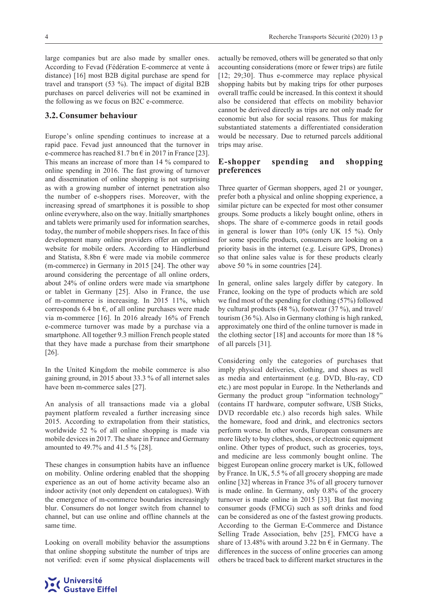large companies but are also made by smaller ones. According to Fevad (Fédération E-commerce at vente à distance) [16] most B2B digital purchase are spend for travel and transport (53 %). The impact of digital B2B purchases on parcel deliveries will not be examined in the following as we focus on B2C e-commerce.

#### **3.2. Consumer behaviour**

Europe's online spending continues to increase at a rapid pace. Fevad just announced that the turnover in e-commerce has reached 81.7 bn  $\epsilon$  in 2017 in France [23]. This means an increase of more than 14 % compared to online spending in 2016. The fast growing of turnover and dissemination of online shopping is not surprising as with a growing number of internet penetration also the number of e-shoppers rises. Moreover, with the increasing spread of smartphones it is possible to shop online everywhere, also on the way. Initially smartphones and tablets were primarily used for information searches, today, the number of mobile shoppers rises. In face of this development many online providers offer an optimised website for mobile orders. According to Händlerbund and Statista, 8.8bn  $\epsilon$  were made via mobile commerce (m-commerce) in Germany in 2015 [24]. The other way around considering the percentage of all online orders, about 24% of online orders were made via smartphone or tablet in Germany [25]. Also in France, the use of m-commerce is increasing. In 2015 11%, which corresponds 6.4 bn  $\epsilon$ , of all online purchases were made via m-commerce [16]. In 2016 already 16% of French e-commerce turnover was made by a purchase via a smartphone. All together 9.3 million French people stated that they have made a purchase from their smartphone [26].

In the United Kingdom the mobile commerce is also gaining ground, in 2015 about 33.3 % of all internet sales have been m-commerce sales [27].

An analysis of all transactions made via a global payment platform revealed a further increasing since 2015. According to extrapolation from their statistics, worldwide 52 % of all online shopping is made via mobile devices in 2017. The share in France and Germany amounted to 49.7% and 41.5 % [28].

These changes in consumption habits have an influence on mobility. Online ordering enabled that the shopping experience as an out of home activity became also an indoor activity (not only dependent on catalogues). With the emergence of m-commerce boundaries increasingly blur. Consumers do not longer switch from channel to channel, but can use online and offline channels at the same time.

Looking on overall mobility behavior the assumptions that online shopping substitute the number of trips are not verified: even if some physical displacements will

actually be removed, others will be generated so that only accounting considerations (more or fewer trips) are futile [12; 29;30]. Thus e-commerce may replace physical shopping habits but by making trips for other purposes overall traffic could be increased. In this context it should also be considered that effects on mobility behavior cannot be derived directly as trips are not only made for economic but also for social reasons. Thus for making substantiated statements a differentiated consideration would be necessary. Due to returned parcels additional trips may arise.

#### **E-shopper spending and shopping preferences**

Three quarter of German shoppers, aged 21 or younger, prefer both a physical and online shopping experience, a similar picture can be expected for most other consumer groups. Some products a likely bought online, others in shops. The share of e-commerce goods in retail goods in general is lower than 10% (only UK 15 %). Only for some specific products, consumers are looking on a priority basis in the internet (e.g. Leisure GPS, Drones) so that online sales value is for these products clearly above 50 % in some countries [24].

In general, online sales largely differ by category. In France, looking on the type of products which are sold we find most of the spending for clothing (57%) followed by cultural products (48 %), footwear (37 %), and travel/ tourism (36 %). Also in Germany clothing is high ranked, approximately one third of the online turnover is made in the clothing sector [18] and accounts for more than 18 % of all parcels [31].

Considering only the categories of purchases that imply physical deliveries, clothing, and shoes as well as media and entertainment (e.g. DVD, Blu-ray, CD etc.) are most popular in Europe. In the Netherlands and Germany the product group "information technology" (contains IT hardware, computer software, USB Sticks, DVD recordable etc.) also records high sales. While the homeware, food and drink, and electronics sectors perform worse. In other words, European consumers are more likely to buy clothes, shoes, or electronic equipment online. Other types of product, such as groceries, toys, and medicine are less commonly bought online. The biggest European online grocery market is UK, followed by France. In UK, 5.5 % of all grocery shopping are made online [32] whereas in France 3% of all grocery turnover is made online. In Germany, only 0.8% of the grocery turnover is made online in 2015 [33]. But fast moving consumer goods (FMCG) such as soft drinks and food can be considered as one of the fastest growing products. According to the German E-Commerce and Distance Selling Trade Association, behv [25], FMCG have a share of 13.48% with around 3.22 bn  $\epsilon$  in Germany. The differences in the success of online groceries can among others be traced back to different market structures in the

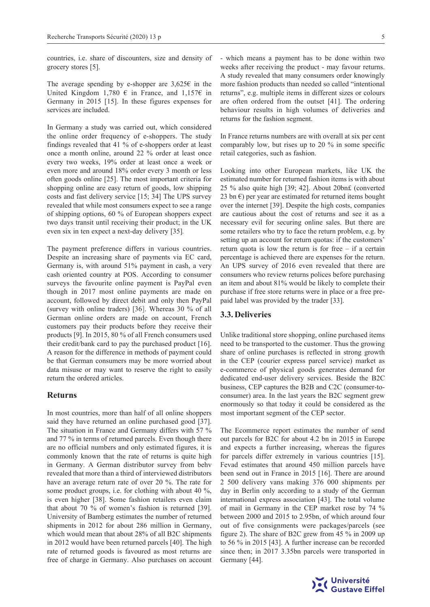countries, i.e. share of discounters, size and density of grocery stores [5].

The average spending by e-shopper are  $3,625 \in \mathbb{R}$  in the United Kingdom 1,780  $\epsilon$  in France, and 1,157 $\epsilon$  in Germany in 2015 [15]. In these figures expenses for services are included.

In Germany a study was carried out, which considered the online order frequency of e-shoppers. The study findings revealed that 41 % of e-shoppers order at least once a month online, around 22 % order at least once every two weeks, 19% order at least once a week or even more and around 18% order every 3 month or less often goods online [25]. The most important criteria for shopping online are easy return of goods, low shipping costs and fast delivery service [15; 34] The UPS survey revealed that while most consumers expect to see a range of shipping options, 60 % of European shoppers expect two days transit until receiving their product; in the UK even six in ten expect a next-day delivery [35]*.*

The payment preference differs in various countries. Despite an increasing share of payments via EC card, Germany is, with around 51% payment in cash, a very cash oriented country at POS. According to consumer surveys the favourite online payment is PayPal even though in 2017 most online payments are made on account, followed by direct debit and only then PayPal (survey with online traders) [36]. Whereas 30 % of all German online orders are made on account, French customers pay their products before they receive their products [9]. In 2015, 80 % of all French consumers used their credit/bank card to pay the purchased product [16]. A reason for the difference in methods of payment could be that German consumers may be more worried about data misuse or may want to reserve the right to easily return the ordered articles.

#### **Returns**

In most countries, more than half of all online shoppers said they have returned an online purchased good [37]. The situation in France and Germany differs with 57 % and 77 % in terms of returned parcels. Even though there are no official numbers and only estimated figures, it is commonly known that the rate of returns is quite high in Germany. A German distributor survey from behv revealed that more than a third of interviewed distributors have an average return rate of over 20 %. The rate for some product groups, i.e. for clothing with about 40 %, is even higher [38]. Some fashion retailers even claim that about 70 % of women's fashion is returned [39]. University of Bamberg estimates the number of returned shipments in 2012 for about 286 million in Germany, which would mean that about 28% of all B2C shipments in 2012 would have been returned parcels [40]. The high rate of returned goods is favoured as most returns are free of charge in Germany. Also purchases on account - which means a payment has to be done within two weeks after receiving the product - may favour returns. A study revealed that many consumers order knowingly more fashion products than needed so called "intentional returns", e.g. multiple items in different sizes or colours are often ordered from the outset [41]. The ordering behaviour results in high volumes of deliveries and returns for the fashion segment.

In France returns numbers are with overall at six per cent comparably low, but rises up to 20 % in some specific retail categories, such as fashion.

Looking into other European markets, like UK the estimated number for returned fashion items is with about 25 % also quite high [39; 42]. About 20bn£ (converted 23 bn  $\epsilon$ ) per year are estimated for returned items bought over the internet [39]. Despite the high costs, companies are cautious about the cost of returns and see it as a necessary evil for securing online sales. But there are some retailers who try to face the return problem, e.g. by setting up an account for return quotas: if the customers' return quota is low the return is for free – if a certain percentage is achieved there are expenses for the return. An UPS survey of 2016 even revealed that there are consumers who review returns polices before purchasing an item and about 81% would be likely to complete their purchase if free store returns were in place or a free prepaid label was provided by the trader [33].

#### **3.3. Deliveries**

Unlike traditional store shopping, online purchased items need to be transported to the customer. Thus the growing share of online purchases is reflected in strong growth in the CEP (courier express parcel service) market as e-commerce of physical goods generates demand for dedicated end-user delivery services. Beside the B2C business, CEP captures the B2B and C2C (consumer-toconsumer) area. In the last years the B2C segment grew enormously so that today it could be considered as the most important segment of the CEP sector.

The Ecommerce report estimates the number of send out parcels for B2C for about 4.2 bn in 2015 in Europe and expects a further increasing, whereas the figures for parcels differ extremely in various countries [15]. Fevad estimates that around 450 million parcels have been send out in France in 2015 [16]. There are around 2 500 delivery vans making 376 000 shipments per day in Berlin only according to a study of the German international express association [43]. The total volume of mail in Germany in the CEP market rose by 74 % between 2000 and 2015 to 2.95bn, of which around four out of five consignments were packages/parcels (see figure 2). The share of B2C grew from 45 % in 2009 up to 56 % in 2015 [43]. A further increase can be recorded since then; in 2017 3.35bn parcels were transported in Germany [44].

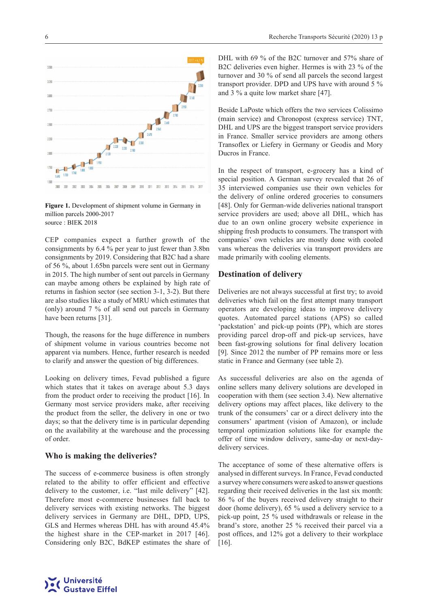

**Figure 1.** Development of shipment volume in Germany in million parcels 2000-2017 source : [BIEK 2018](http://www.biek.de/index.php/pressemitteilung_detailansicht/items/kep-studie-2016.html)

CEP companies expect a further growth of the consignments by 6.4 % per year to just fewer than 3.8bn consignments by 2019. Considering that B2C had a share of 56 %, about 1.65bn parcels were sent out in Germany in 2015. The high number of sent out parcels in Germany can maybe among others be explained by high rate of returns in fashion sector (see section 3-1, 3-2). But there are also studies like a study of MRU which estimates that (only) around 7 % of all send out parcels in Germany have been returns [31].

Though, the reasons for the huge difference in numbers of shipment volume in various countries become not apparent via numbers. Hence, further research is needed to clarify and answer the question of big differences.

Looking on delivery times, Fevad published a figure which states that it takes on average about 5.3 days from the product order to receiving the product [16]. In Germany most service providers make, after receiving the product from the seller, the delivery in one or two days; so that the delivery time is in particular depending on the availability at the warehouse and the processing of order.

#### **Who is making the deliveries?**

The success of e-commerce business is often strongly related to the ability to offer efficient and effective delivery to the customer, i.e. "last mile delivery" [42]. Therefore most e-commerce businesses fall back to delivery services with existing networks. The biggest delivery services in Germany are DHL, DPD, UPS, GLS and Hermes whereas DHL has with around 45.4% the highest share in the CEP-market in 2017 [46]. Considering only B2C, BdKEP estimates the share of DHL with 69 % of the B2C turnover and 57% share of B2C deliveries even higher. Hermes is with 23 % of the turnover and 30 % of send all parcels the second largest transport provider. DPD and UPS have with around 5 % and 3 % a quite low market share [47].

Beside LaPoste which offers the two services Colissimo (main service) and Chronopost (express service) TNT, DHL and UPS are the biggest transport service providers in France. Smaller service providers are among others Transoflex or Liefery in Germany or Geodis and Mory Ducros in France.

In the respect of transport, e-grocery has a kind of special position. A German survey revealed that 26 of 35 interviewed companies use their own vehicles for the delivery of online ordered groceries to consumers [48]. Only for German-wide deliveries national transport service providers are used; above all DHL, which has due to an own online grocery website experience in shipping fresh products to consumers. The transport with companies' own vehicles are mostly done with cooled vans whereas the deliveries via transport providers are made primarily with cooling elements.

#### **Destination of delivery**

Deliveries are not always successful at first try; to avoid deliveries which fail on the first attempt many transport operators are developing ideas to improve delivery quotes. Automated parcel stations (APS) so called 'packstation' and pick-up points (PP), which are stores providing parcel drop-off and pick-up services, have been fast-growing solutions for final delivery location [9]. Since 2012 the number of PP remains more or less static in France and Germany (see table 2).

As successful deliveries are also on the agenda of online sellers many delivery solutions are developed in cooperation with them (see section 3.4). New alternative delivery options may affect places, like delivery to the trunk of the consumers' car or a direct delivery into the consumers' apartment (vision of Amazon), or include temporal optimization solutions like for example the offer of time window delivery, same-day or next-daydelivery services.

The acceptance of some of these alternative offers is analysed in different surveys. In France, Fevad conducted a survey where consumers were asked to answer questions regarding their received deliveries in the last six month: 86 % of the buyers received delivery straight to their door (home delivery), 65 % used a delivery service to a pick-up point, 25 % used withdrawals or release in the brand's store, another 25 % received their parcel via a post offices, and 12% got a delivery to their workplace [16].

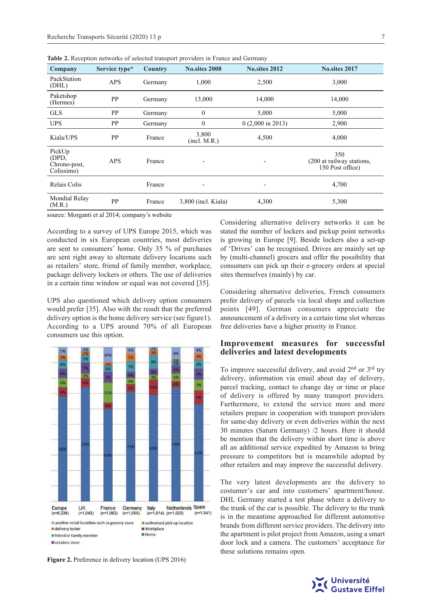| Company                                       | Service type* | Country | <b>No.sites 2008</b>  | <b>No.sites 2012</b>        | <b>No.sites 2017</b>                                 |
|-----------------------------------------------|---------------|---------|-----------------------|-----------------------------|------------------------------------------------------|
| PackStation<br>(DHL)                          | <b>APS</b>    | Germany | 1,000                 | 2,500                       | 3,000                                                |
| Paketshop<br>(Hermes)                         | PP            | Germany | 13,000                | 14,000                      | 14,000                                               |
| <b>GLS</b>                                    | PP            | Germany | $\mathbf{0}$          | 5,000                       | 5,000                                                |
| <b>UPS</b>                                    | PP            | Germany | $\mathbf{0}$          | $0(2,000 \text{ in } 2013)$ | 2,900                                                |
| Kiala/UPS                                     | PP            | France  | 3,800<br>(incl. M.R.) | 4,500                       | 4,000                                                |
| PickUp<br>(DPD,<br>Chrono-post,<br>Colissimo) | <b>APS</b>    | France  |                       |                             | 350<br>(200 at railway stations,<br>150 Post office) |
| Relais Colis                                  |               | France  | ٠                     | -                           | 4,700                                                |
| Mondial Relay<br>(M.R.)                       | PP            | France  | $3,800$ (incl. Kiala) | 4,300                       | 5,300                                                |

**Table 2.** Reception networks of selected transport providers in France and Germany

source: Morganti et al 2014; company's website

According to a survey of UPS Europe 2015, which was conducted in six European countries, most deliveries are sent to consumers' home. Only 35 % of purchases are sent right away to alternate delivery locations such as retailers' store, friend of family member, workplace, package delivery lockers or others. The use of deliveries in a certain time window or equal was not covered [35].

UPS also questioned which delivery option consumers would prefer [35]. Also with the result that the preferred delivery option is the home delivery service (see figure1). According to a UPS around 70% of all European consumers use this option.



**Figure 2.** Preference in delivery location (UPS 2016)

Considering alternative delivery networks it can be stated the number of lockers and pickup point networks is growing in Europe [9]. Beside lockers also a set-up of 'Drives' can be recognised. Drives are mainly set up by (multi-channel) grocers and offer the possibility that consumers can pick up their e-grocery orders at special sites themselves (mainly) by car.

Considering alternative deliveries, French consumers prefer delivery of parcels via local shops and collection points [49]. German consumers appreciate the announcement of a delivery in a certain time slot whereas free deliveries have a higher priority in France.

#### **Improvement measures for successful deliveries and latest developments**

To improve successful delivery, and avoid 2nd or 3rd try delivery, information via email about day of delivery, parcel tracking, contact to change day or time or place of delivery is offered by many transport providers. Furthermore, to extend the service more and more retailers prepare in cooperation with transport providers for same-day delivery or even deliveries within the next 30 minutes (Saturn Germany) /2 hours. Here it should be mention that the delivery within short time is above all an additional service expedited by Amazon to bring pressure to competitors but is meanwhile adopted by other retailers and may improve the successful delivery.

The very latest developments are the delivery to costumer's car and into customers' apartment/house. DHL Germany started a test phase where a delivery to the trunk of the car is possible. The delivery to the trunk is in the meantime approached for different automotive brands from different service providers. The delivery into the apartment is pilot project from Amazon, using a smart door lock and a camera. The customers' acceptance for these solutions remains open.

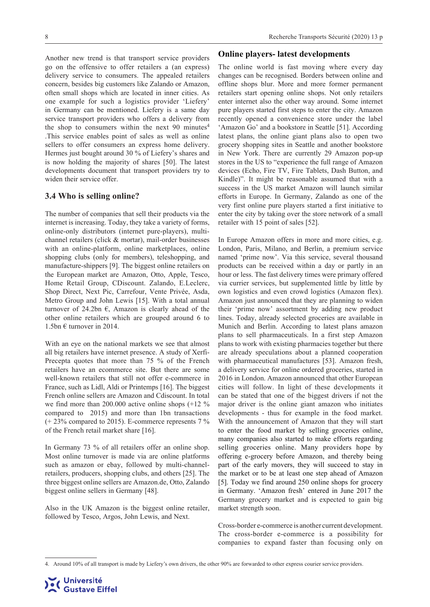Another new trend is that transport service providers go on the offensive to offer retailers a (an express) delivery service to consumers. The appealed retailers concern, besides big customers like Zalando or Amazon, often small shops which are located in inner cities. As one example for such a logistics provider 'Liefery' in Germany can be mentioned. Liefery is a same day service transport providers who offers a delivery from the shop to consumers within the next  $90$  minutes<sup>4</sup> .This service enables point of sales as well as online sellers to offer consumers an express home delivery. Hermes just bought around 30 % of Liefery's shares and is now holding the majority of shares [50]. The latest developments document that transport providers try to widen their service offer.

#### **3.4 Who is selling online?**

The number of companies that sell their products via the internet is increasing. Today, they take a variety of forms, online-only distributors (internet pure-players), multichannel retailers (click & mortar), mail-order businesses with an online-platform, online marketplaces, online shopping clubs (only for members), teleshopping, and manufacture-shippers [9]. The biggest online retailers on the European market are Amazon, Otto, Apple, Tesco, Home Retail Group, CDiscount. Zalando, E.Leclerc, Shop Direct, Next Pic, Carrefour, Vente Privée, Asda, Metro Group and John Lewis [15]. With a total annual turnover of 24.2bn  $\epsilon$ , Amazon is clearly ahead of the other online retailers which are grouped around 6 to 1.5bn  $\epsilon$  turnover in 2014.

With an eye on the national markets we see that almost all big retailers have internet presence. A study of Xerfi-Precepta quotes that more than 75 % of the French retailers have an ecommerce site. But there are some well-known retailers that still not offer e-commerce in France, such as Lidl, Aldi or Printemps [16]. The biggest French online sellers are Amazon and Cdiscount. In total we find more than 200.000 active online shops (+12 % compared to 2015) and more than 1bn transactions (+ 23% compared to 2015). E-commerce represents 7 % of the French retail market share [16].

In Germany 73 % of all retailers offer an online shop. Most online turnover is made via are online platforms such as amazon or ebay, followed by multi-channelretailers, producers, shopping clubs, and others [25]. The three biggest online sellers are Amazon.de, Otto, Zalando biggest online sellers in Germany [48].

Also in the UK Amazon is the biggest online retailer, followed by Tesco, Argos, John Lewis, and Next.

#### **Online players- latest developments**

The online world is fast moving where every day changes can be recognised. Borders between online and offline shops blur. More and more former permanent retailers start opening online shops. Not only retailers enter internet also the other way around. Some internet pure players started first steps to enter the city. Amazon recently opened a convenience store under the label 'Amazon Go' and a bookstore in Seattle [51]. According latest plans, the online giant plans also to open two grocery shopping sites in Seattle and another bookstore in New York. There are currently 29 Amazon pop-up stores in the US to "experience the full range of Amazon devices (Echo, Fire TV, Fire Tablets, Dash Button, and Kindle)". It might be reasonable assumed that with a success in the US market Amazon will launch similar efforts in Europe. In Germany, Zalando as one of the very first online pure players started a first initiative to enter the city by taking over the store network of a small retailer with 15 point of sales [52].

In Europe Amazon offers in more and more cities, e.g. London, Paris, Milano, and Berlin, a premium service named 'prime now'. Via this service, several thousand products can be received within a day or partly in an hour or less. The fast delivery times were primary offered via currier services, but supplemented little by little by own logistics and even crowd logistics (Amazon flex). Amazon just announced that they are planning to widen their 'prime now' assortment by adding new product lines. Today, already selected groceries are available in Munich and Berlin. According to latest plans amazon plans to sell pharmaceuticals. In a first step Amazon plans to work with existing pharmacies together but there are already speculations about a planned cooperation with pharmaceutical manufactures [53]. Amazon fresh, a delivery service for online ordered groceries, started in 2016 in London. Amazon announced that other European cities will follow. In light of these developments it can be stated that one of the biggest drivers if not the major driver is the online giant amazon who initiates developments - thus for example in the food market. With the announcement of Amazon that they will start to enter the food market by selling groceries online, many companies also started to make efforts regarding selling groceries online. Many providers hope by offering e-grocery before Amazon, and thereby being part of the early movers, they will succeed to stay in the market or to be at least one step ahead of Amazon [5]. Today we find around 250 online shops for grocery in Germany. 'Amazon fresh' entered in June 2017 the Germany grocery market and is expected to gain big market strength soon.

Cross-border e-commerce is another current development. The cross-border e-commerce is a possibility for companies to expand faster than focusing only on

<sup>4.</sup> Around 10% of all transport is made by Liefery's own drivers, the other 90% are forwarded to other express courier service providers.

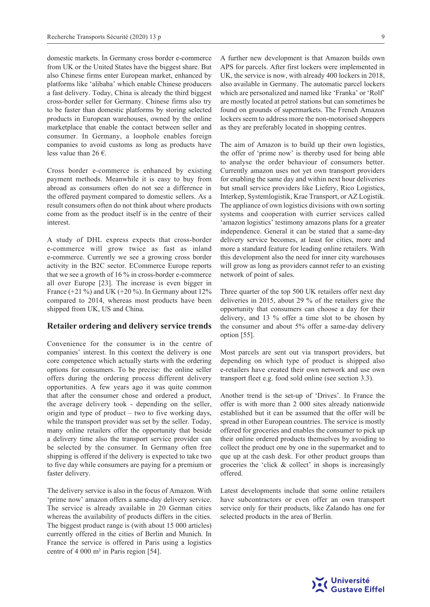domestic markets. In Germany cross border e-commerce from UK or the United States have the biggest share. But also Chinese firms enter European market, enhanced by platforms like 'alibaba' which enable Chinese producers a fast delivery. Today, China is already the third biggest cross-border seller for Germany. Chinese firms also try to be faster than domestic platforms by storing selected products in European warehouses, owned by the online marketplace that enable the contact between seller and consumer. In Germany, a loophole enables foreign companies to avoid customs as long as products have less value than 26  $\epsilon$ .

Cross border e-commerce is enhanced by existing payment methods. Meanwhile it is easy to buy from abroad as consumers often do not see a difference in the offered payment compared to domestic sellers. As a result consumers often do not think about where products come from as the product itself is in the centre of their interest.

A study of DHL express expects that cross-border e-commerce will grow twice as fast as inland e-commerce. Currently we see a growing cross border activity in the B2C sector. ECommerce Europe reports that we see a growth of 16 % in cross-border e-commerce all over Europe [23]. The increase is even bigger in France  $(+21\%)$  and UK  $(+20\%)$ . In Germany about 12% compared to 2014, whereas most products have been shipped from UK, US and China.

#### **Retailer ordering and delivery service trends**

Convenience for the consumer is in the centre of companies' interest. In this context the delivery is one core competence which actually starts with the ordering options for consumers. To be precise: the online seller offers during the ordering process different delivery opportunities. A few years ago it was quite common that after the consumer chose and ordered a product, the average delivery took - depending on the seller, origin and type of product – two to five working days, while the transport provider was set by the seller. Today, many online retailers offer the opportunity that beside a delivery time also the transport service provider can be selected by the consumer. In Germany often free shipping is offered if the delivery is expected to take two to five day while consumers are paying for a premium or faster delivery.

The delivery service is also in the focus of Amazon. With 'prime now' amazon offers a same-day delivery service. The service is already available in 20 German cities whereas the availability of products differs in the cities. The biggest product range is (with about 15 000 articles) currently offered in the cities of Berlin and Munich. In France the service is offered in Paris using a logistics centre of 4 000 m² in Paris region [54].

A further new development is that Amazon builds own APS for parcels. After first lockers were implemented in UK, the service is now, with already 400 lockers in 2018, also available in Germany. The automatic parcel lockers which are personalized and named like 'Franka' or 'Rolf' are mostly located at petrol stations but can sometimes be found on grounds of supermarkets. The French Amazon lockers seem to address more the non-motorised shoppers as they are preferably located in shopping centres.

The aim of Amazon is to build up their own logistics, the offer of 'prime now' is thereby used for being able to analyse the order behaviour of consumers better. Currently amazon uses not yet own transport providers for enabling the same day and within next hour deliveries but small service providers like Liefery, Rico Logistics, Interkep, Systemlogistik, Krae Transport, or AZ Logistik. The appliance of own logistics divisions with own sorting systems and cooperation with currier services called 'amazon logistics' testimony amazons plans for a greater independence. General it can be stated that a same-day delivery service becomes, at least for cities, more and more a standard feature for leading online retailers. With this development also the need for inner city warehouses will grow as long as providers cannot refer to an existing network of point of sales.

Three quarter of the top 500 UK retailers offer next day deliveries in 2015, about 29 % of the retailers give the opportunity that consumers can choose a day for their delivery, and 13 % offer a time slot to be chosen by the consumer and about 5% offer a same-day delivery option [55].

Most parcels are sent out via transport providers, but depending on which type of product is shipped also e-retailers have created their own network and use own transport fleet e.g. food sold online (see section 3.3).

Another trend is the set-up of 'Drives'. In France the offer is with more than 2 000 sites already nationwide established but it can be assumed that the offer will be spread in other European countries. The service is mostly offered for groceries and enables the consumer to pick up their online ordered products themselves by avoiding to collect the product one by one in the supermarket and to que up at the cash desk. For other product groups than groceries the 'click & collect' in shops is increasingly offered.

Latest developments include that some online retailers have subcontractors or even offer an own transport service only for their products, like Zalando has one for selected products in the area of Berlin.

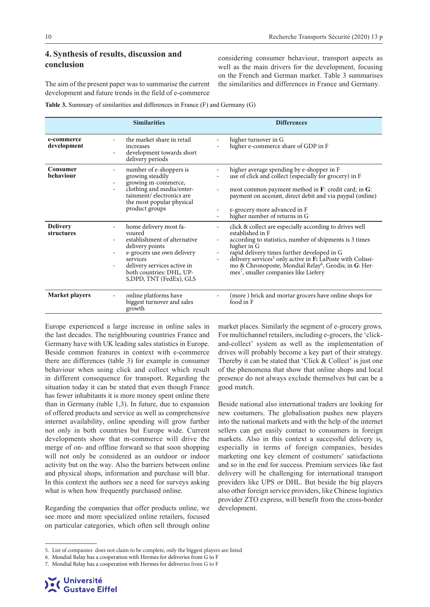### **4. Synthesis of results, discussion and conclusion**

considering consumer behaviour, transport aspects as well as the main drivers for the development, focusing on the French and German market. Table 3 summarises the similarities and differences in France and Germany.

The aim of the present paper was to summarise the current development and future trends in the field of e-commerce

**Table 3.** Summary of similarities and differences in France (F) and Germany (G)

|                               | <b>Similarities</b>                                                                                                                                                                                                  |                | <b>Differences</b>                                                                                                                                                                                                                                                                                                                                                                                       |
|-------------------------------|----------------------------------------------------------------------------------------------------------------------------------------------------------------------------------------------------------------------|----------------|----------------------------------------------------------------------------------------------------------------------------------------------------------------------------------------------------------------------------------------------------------------------------------------------------------------------------------------------------------------------------------------------------------|
| e-commerce<br>development     | the market share in retail<br>increases<br>development towards short<br>delivery periods                                                                                                                             |                | higher turnover in G<br>higher e-commerce share of GDP in F                                                                                                                                                                                                                                                                                                                                              |
| Consumer<br>behaviour         | number of e-shoppers is<br>۰.<br>growing steadily<br>growing m-commerce,<br>clothing and media/enter-<br>tainment/electronics are<br>the most popular physical<br>product groups                                     |                | higher average spending by e-shopper in F<br>use of click and collect (especially for grocery) in F<br>most common payment method in $\mathbf{F}$ : credit card; in $\mathbf{G}$ :<br>payment on account, direct debit and via paypal (online)<br>e-grocery more advanced in F<br>higher number of returns in G                                                                                          |
| <b>Delivery</b><br>structures | home delivery most fa-<br>voured<br>establishment of alternative<br>delivery points<br>e-grocers use own delivery<br>services<br>delivery services active in<br>both countries: DHL, UP-<br>S, DPD, TNT (FedEx), GLS | $\blacksquare$ | click & collect are especially according to drives well<br>established in F<br>according to statistics, number of shipments is 3 times<br>higher in G<br>rapid delivery times further developed in G<br>delivery services <sup>5</sup> only active in F: LaPoste with Colissi-<br>mo & Chronoposte, Mondial Relay <sup>6</sup> , Geodis; in G: Her-<br>mes <sup>7</sup> , smaller companies like Liefery |
| <b>Market players</b>         | online platforms have<br>biggest turnover and sales<br>growth                                                                                                                                                        |                | (more ) brick and mortar grocers have online shops for<br>food in F                                                                                                                                                                                                                                                                                                                                      |

Europe experienced a large increase in online sales in the last decades. The neighbouring countries France and Germany have with UK leading sales statistics in Europe. Beside common features in context with e-commerce there are differences (table 3) for example in consumer behaviour when using click and collect which result in different consequence for transport. Regarding the situation today it can be stated that even though France has fewer inhabitants it is more money spent online there than in Germany (table 1,3). In future, due to expansion of offered products and service as well as comprehensive internet availability, online spending will grow further not only in both countries but Europe wide. Current developments show that m-commerce will drive the merge of on- and offline forward so that soon shopping will not only be considered as an outdoor or indoor activity but on the way. Also the barriers between online and physical shops, information and purchase will blur. In this context the authors see a need for surveys asking what is when how frequently purchased online.

Regarding the companies that offer products online, we see more and more specialized online retailers, focused on particular categories, which often sell through online market places. Similarly the segment of e-grocery grows. For multichannel retailers, including e-grocers, the 'clickand-collect' system as well as the implementation of drives will probably become a key part of their strategy. Thereby it can be stated that 'Click & Collect' is just one of the phenomena that show that online shops and local presence do not always exclude themselves but can be a good match.

Beside national also international traders are looking for new costumers. The globalisation pushes new players into the national markets and with the help of the internet sellers can get easily contact to consumers in foreign markets. Also in this context a successful delivery is, especially in terms of foreign companies, besides marketing one key element of costumers' satisfactions and so in the end for success. Premium services like fast delivery will be challenging for international transport providers like UPS or DHL. But beside the big players also other foreign service providers, like Chinese logistics provider ZTO express, will benefit from the cross-border development.



<sup>5.</sup> List of companies does not claim to be complete, only the biggest players are listed

<sup>6.</sup> Mondial Relay has a cooperation with Hermes for deliveries from G to F

<sup>7.</sup> Mondial Relay has a cooperation with Hermes for deliveries from G to F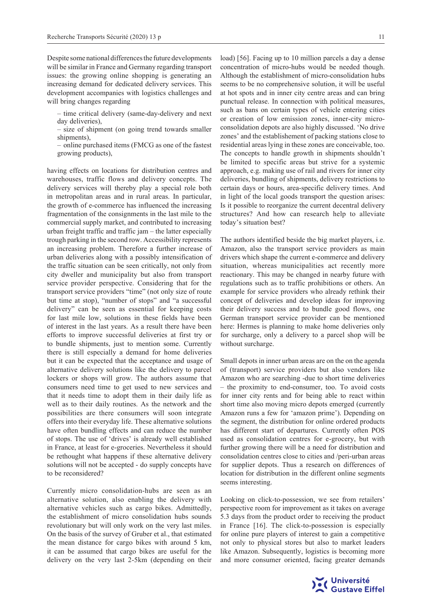Despite some national differences the future developments will be similar in France and Germany regarding transport issues: the growing online shopping is generating an increasing demand for dedicated delivery services. This development accompanies with logistics challenges and will bring changes regarding

– time critical delivery (same-day-delivery and next day deliveries),

size of shipment (on going trend towards smaller shipments),

– online purchased items (FMCG as one of the fastest growing products),

having effects on locations for distribution centres and warehouses, traffic flows and delivery concepts. The delivery services will thereby play a special role both in metropolitan areas and in rural areas. In particular, the growth of e-commerce has influenced the increasing fragmentation of the consignments in the last mile to the commercial supply market, and contributed to increasing urban freight traffic and traffic jam – the latter especially trough parking in the second row. Accessibility represents an increasing problem. Therefore a further increase of urban deliveries along with a possibly intensification of the traffic situation can be seen critically, not only from city dweller and municipality but also from transport service provider perspective. Considering that for the transport service providers "time" (not only size of route but time at stop), "number of stops" and "a successful delivery" can be seen as essential for keeping costs for last mile low, solutions in these fields have been of interest in the last years. As a result there have been efforts to improve successful deliveries at first try or to bundle shipments, just to mention some. Currently there is still especially a demand for home deliveries but it can be expected that the acceptance and usage of alternative delivery solutions like the delivery to parcel lockers or shops will grow. The authors assume that consumers need time to get used to new services and that it needs time to adopt them in their daily life as well as to their daily routines. As the network and the possibilities are there consumers will soon integrate offers into their everyday life. These alternative solutions have often bundling effects and can reduce the number of stops. The use of 'drives' is already well established in France, at least for e-groceries. Nevertheless it should be rethought what happens if these alternative delivery solutions will not be accepted - do supply concepts have to be reconsidered?

Currently micro consolidation-hubs are seen as an alternative solution, also enabling the delivery with alternative vehicles such as cargo bikes. Admittedly, the establishment of micro consolidation hubs sounds revolutionary but will only work on the very last miles. On the basis of the survey of Gruber et al., that estimated the mean distance for cargo bikes with around 5 km, it can be assumed that cargo bikes are useful for the delivery on the very last 2-5km (depending on their

load) [56]. Facing up to 10 million parcels a day a dense concentration of micro-hubs would be needed though. Although the establishment of micro-consolidation hubs seems to be no comprehensive solution, it will be useful at hot spots and in inner city centre areas and can bring punctual release. In connection with political measures, such as bans on certain types of vehicle entering cities or creation of low emission zones, inner-city microconsolidation depots are also highly discussed. 'No drive zones' and the establishement of packing stations close to residential areas lying in these zones are conceivable, too. The concepts to handle growth in shipments shouldn't be limited to specific areas but strive for a systemic approach, e.g. making use of rail and rivers for inner city deliveries, bundling of shipments, delivery restrictions to certain days or hours, area-specific delivery times. And in light of the local goods transport the question arises: Is it possible to reorganize the current decentral delivery structures? And how can research help to alleviate today's situation best?

The authors identified beside the big market players, i.e. Amazon, also the transport service providers as main drivers which shape the current e-commerce and delivery situation, whereas municipalities act recently more reactionary. This may be changed in nearby future with regulations such as to traffic prohibitions or others. An example for service providers who already rethink their concept of deliveries and develop ideas for improving their delivery success and to bundle good flows, one German transport service provider can be mentioned here: Hermes is planning to make home deliveries only for surcharge, only a delivery to a parcel shop will be without surcharge.

Small depots in inner urban areas are on the on the agenda of (transport) service providers but also vendors like Amazon who are searching -due to short time deliveries – the proximity to end-consumer, too. To avoid costs for inner city rents and for being able to react within short time also moving micro depots emerged (currently Amazon runs a few for 'amazon prime'). Depending on the segment, the distribution for online ordered products has different start of departures. Currently often POS used as consolidation centres for e-grocery, but with further growing there will be a need for distribution and consolidation centres close to cities and /peri-urban areas for supplier depots. Thus a research on differences of location for distribution in the different online segments seems interesting.

Looking on click-to-possession, we see from retailers' perspective room for improvement as it takes on average 5.3 days from the product order to receiving the product in France [16]. The click-to-possession is especially for online pure players of interest to gain a competitive not only to physical stores but also to market leaders like Amazon. Subsequently, logistics is becoming more and more consumer oriented, facing greater demands

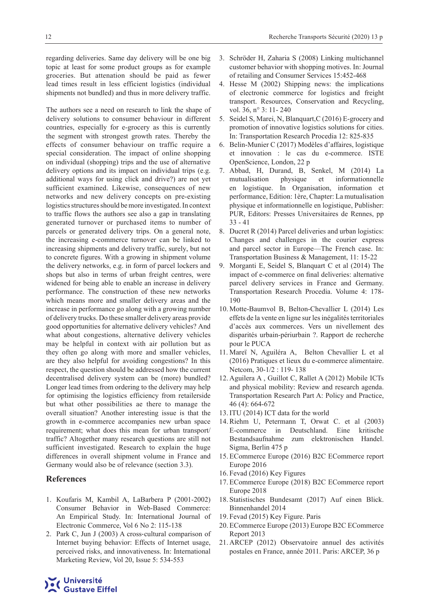regarding deliveries. Same day delivery will be one big topic at least for some product groups as for example groceries. But attenation should be paid as fewer lead times result in less efficient logistics (individual shipments not bundled) and thus in more delivery traffic.

The authors see a need on research to link the shape of delivery solutions to consumer behaviour in different countries, especially for e-grocery as this is currently the segment with strongest growth rates. Thereby the effects of consumer behaviour on traffic require a special consideration. The impact of online shopping on individual (shopping) trips and the use of alternative delivery options and its impact on individual trips (e.g. additional ways for using click and drive?) are not yet sufficient examined. Likewise, consequences of new networks and new delivery concepts on pre-existing logistics structures should be more investigated. In context to traffic flows the authors see also a gap in translating generated turnover or purchased items to number of parcels or generated delivery trips. On a general note, the increasing e-commerce turnover can be linked to increasing shipments and delivery traffic, surely, but not to concrete figures. With a growing in shipment volume the delivery networks, e.g. in form of parcel lockers and shops but also in terms of urban freight centres, were widened for being able to enable an increase in delivery performance. The construction of these new networks which means more and smaller delivery areas and the increase in performance go along with a growing number of delivery trucks. Do these smaller delivery areas provide good opportunities for alternative delivery vehicles? And what about congestions, alternative delivery vehicles may be helpful in context with air pollution but as they often go along with more and smaller vehicles, are they also helpful for avoiding congestions? In this respect, the question should be addressed how the current decentralised delivery system can be (more) bundled? Longer lead times from ordering to the delivery may help for optimising the logistics efficiency from retailerside but what other possibilities ae there to manage the overall situation? Another interesting issue is that the growth in e-commerce accompanies new urban space requirement; what does this mean for urban transport/ traffic? Altogether many research questions are still not sufficient investigated. Research to explain the huge differences in overall shipment volume in France and Germany would also be of relevance (section 3.3).

#### **References**

- 1. Koufaris M, Kambil A, LaBarbera P (2001-2002) Consumer Behavior in Web-Based Commerce: An Empirical Study. In: International Journal of Electronic Commerce, Vol 6 No 2: 115-138
- 2. Park C, Jun J (2003) A cross‐cultural comparison of Internet buying behavior: Effects of Internet usage, perceived risks, and innovativeness. In: International Marketing Review, Vol 20, Issue 5: 534-553
- 3. Schröder H, Zaharia S (2008) Linking multichannel customer behavior with shopping motives. In: Journal of retailing and Consumer Services 15:452-468
- 4. Hesse M (2002) Shipping news: the implications of electronic commerce for logistics and freight transport. Resources, Conservation and Recycling, vol. 36, n° 3: 11- 240
- 5. Seidel S, Marei, N, Blanquart,C (2016) E-grocery and promotion of innovative logistics solutions for cities. In: Transportation Research Procedia 12: 825-835
- 6. Belin-Munier C (2017) Modèles d'affaires, logistique et innovation : le cas du e-commerce. ISTE OpenScience, London, 22 p
- 7. Abbad, H, Durand, B, Senkel, M (2014) La mutualisation physique et informationnelle en logistique. In Organisation, information et performance, Edition: 1ère, Chapter: La mutualisation physique et informationnelle en logistique, Publisher: PUR, Editors: Presses Universitaires de Rennes, pp 33 - 41
- 8. Ducret R (2014) Parcel deliveries and urban logistics: Changes and challenges in the courier express and parcel sector in Europe—The French case. In: Transportation Business & Management, 11: 15-22
- 9. Morganti E, Seidel S, Blanquart C et al (2014) The impact of e-commerce on final deliveries: alternative parcel delivery services in France and Germany. Transportation Research Procedia. Volume 4: 178- 190
- 10. Motte-Baumvol B, Belton-Chevallier L (2014) Les effets de la vente en ligne sur les inégalités territoriales d'accès aux commerces. Vers un nivellement des disparités urbain-périurbain ?. Rapport de recherche pour le PUCA
- 11. Mareï N, Aguiléra A, Belton Chevallier L et al (2016) Pratiques et lieux du e-commerce alimentaire. Netcom, 30-1/2 : 119- 138
- 12. Aguilera A , Guillot C, Rallet A (2012) Mobile ICTs and physical mobility: Review and research agenda. Transportation Research Part A: Policy and Practice, 46 (4): 664-672
- 13. ITU (2014) ICT data for the world
- 14. Riehm U, Petermann T, Orwat C. et al (2003) E-commerce in Deutschland. Eine kritische Bestandsaufnahme zum elektronischen Handel. Sigma, Berlin 475 p
- 15. ECommerce Europe (2016) B2C ECommerce report Europe 2016
- 16. Fevad (2016) Key Figures
- 17. ECommerce Europe (2018) B2C ECommerce report Europe 2018
- 18. Statistisches Bundesamt (2017) Auf einen Blick. Binnenhandel 2014
- 19. Fevad (2015) Key Figure. Paris
- 20. ECommerce Europe (2013) Europe B2C ECommerce Report 2013
- 21. ARCEP (2012) Observatoire annuel des activités postales en France, année 2011. Paris: ARCEP, 36 p